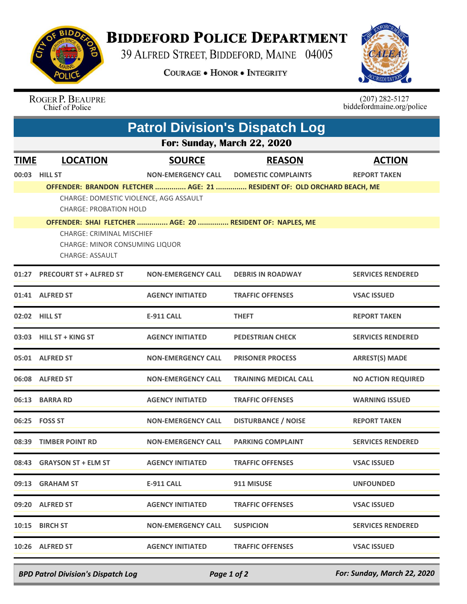

## **BIDDEFORD POLICE DEPARTMENT**

39 ALFRED STREET, BIDDEFORD, MAINE 04005

**COURAGE . HONOR . INTEGRITY** 



ROGER P. BEAUPRE<br>Chief of Police

 $(207)$  282-5127<br>biddefordmaine.org/police

| <b>Patrol Division's Dispatch Log</b> |                                                                                                     |                           |                                                                         |                           |  |  |  |
|---------------------------------------|-----------------------------------------------------------------------------------------------------|---------------------------|-------------------------------------------------------------------------|---------------------------|--|--|--|
| For: Sunday, March 22, 2020           |                                                                                                     |                           |                                                                         |                           |  |  |  |
| <b>TIME</b>                           | <b>LOCATION</b>                                                                                     | <b>SOURCE</b>             | <b>REASON</b>                                                           | <b>ACTION</b>             |  |  |  |
|                                       | 00:03 HILL ST                                                                                       | <b>NON-EMERGENCY CALL</b> | <b>DOMESTIC COMPLAINTS</b>                                              | <b>REPORT TAKEN</b>       |  |  |  |
|                                       |                                                                                                     |                           | OFFENDER: BRANDON FLETCHER  AGE: 21  RESIDENT OF: OLD ORCHARD BEACH, ME |                           |  |  |  |
|                                       | CHARGE: DOMESTIC VIOLENCE, AGG ASSAULT<br><b>CHARGE: PROBATION HOLD</b>                             |                           |                                                                         |                           |  |  |  |
|                                       | OFFENDER: SHAI FLETCHER  AGE: 20  RESIDENT OF: NAPLES, ME                                           |                           |                                                                         |                           |  |  |  |
|                                       | <b>CHARGE: CRIMINAL MISCHIEF</b><br><b>CHARGE: MINOR CONSUMING LIQUOR</b><br><b>CHARGE: ASSAULT</b> |                           |                                                                         |                           |  |  |  |
|                                       | 01:27 PRECOURT ST + ALFRED ST                                                                       | <b>NON-EMERGENCY CALL</b> | <b>DEBRIS IN ROADWAY</b>                                                | <b>SERVICES RENDERED</b>  |  |  |  |
|                                       | 01:41 ALFRED ST                                                                                     | <b>AGENCY INITIATED</b>   | <b>TRAFFIC OFFENSES</b>                                                 | <b>VSAC ISSUED</b>        |  |  |  |
|                                       | 02:02 HILL ST                                                                                       | <b>E-911 CALL</b>         | <b>THEFT</b>                                                            | <b>REPORT TAKEN</b>       |  |  |  |
|                                       | 03:03 HILL ST + KING ST                                                                             | <b>AGENCY INITIATED</b>   | <b>PEDESTRIAN CHECK</b>                                                 | <b>SERVICES RENDERED</b>  |  |  |  |
|                                       | 05:01 ALFRED ST                                                                                     | <b>NON-EMERGENCY CALL</b> | <b>PRISONER PROCESS</b>                                                 | <b>ARREST(S) MADE</b>     |  |  |  |
|                                       | 06:08 ALFRED ST                                                                                     | <b>NON-EMERGENCY CALL</b> | <b>TRAINING MEDICAL CALL</b>                                            | <b>NO ACTION REQUIRED</b> |  |  |  |
|                                       | 06:13 BARRA RD                                                                                      | <b>AGENCY INITIATED</b>   | <b>TRAFFIC OFFENSES</b>                                                 | <b>WARNING ISSUED</b>     |  |  |  |
|                                       | 06:25 FOSS ST                                                                                       | <b>NON-EMERGENCY CALL</b> | <b>DISTURBANCE / NOISE</b>                                              | <b>REPORT TAKEN</b>       |  |  |  |
| 08:39                                 | <b>TIMBER POINT RD</b>                                                                              | <b>NON-EMERGENCY CALL</b> | <b>PARKING COMPLAINT</b>                                                | <b>SERVICES RENDERED</b>  |  |  |  |
|                                       | 08:43 GRAYSON ST + ELM ST                                                                           | <b>AGENCY INITIATED</b>   | <b>TRAFFIC OFFENSES</b>                                                 | <b>VSAC ISSUED</b>        |  |  |  |
|                                       | 09:13 GRAHAM ST                                                                                     | <b>E-911 CALL</b>         | 911 MISUSE                                                              | <b>UNFOUNDED</b>          |  |  |  |
|                                       | 09:20 ALFRED ST                                                                                     | <b>AGENCY INITIATED</b>   | <b>TRAFFIC OFFENSES</b>                                                 | <b>VSAC ISSUED</b>        |  |  |  |
|                                       | 10:15 BIRCH ST                                                                                      | <b>NON-EMERGENCY CALL</b> | <b>SUSPICION</b>                                                        | <b>SERVICES RENDERED</b>  |  |  |  |
|                                       | 10:26 ALFRED ST                                                                                     | <b>AGENCY INITIATED</b>   | <b>TRAFFIC OFFENSES</b>                                                 | <b>VSAC ISSUED</b>        |  |  |  |

*BPD Patrol Division's Dispatch Log Page 1 of 2 For: Sunday, March 22, 2020*